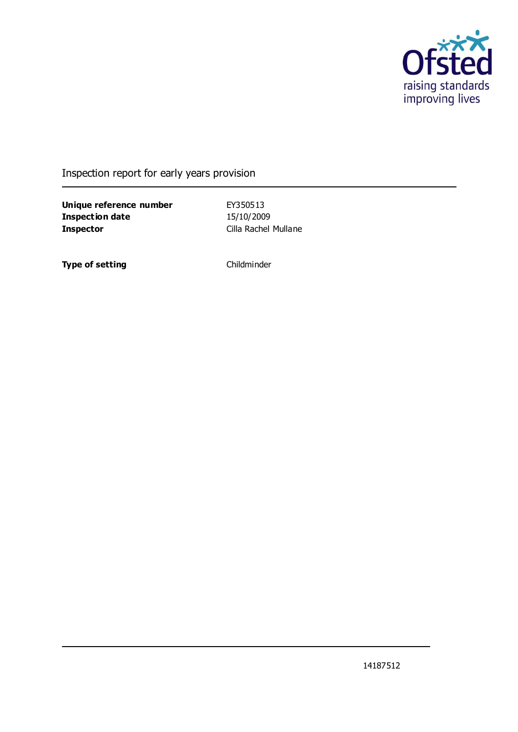

### Inspection report for early years provision

**Unique reference number** EY350513 **Inspection date** 15/10/2009 **Inspector** Cilla Rachel Mullane

**Type of setting** Childminder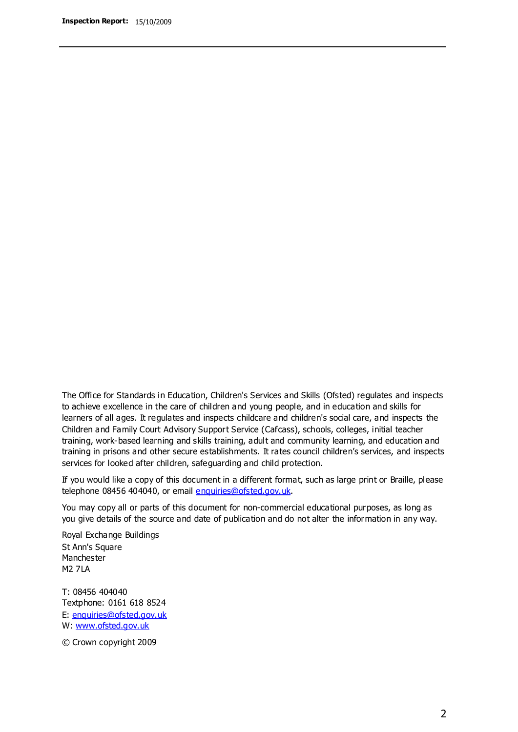The Office for Standards in Education, Children's Services and Skills (Ofsted) regulates and inspects to achieve excellence in the care of children and young people, and in education and skills for learners of all ages. It regulates and inspects childcare and children's social care, and inspects the Children and Family Court Advisory Support Service (Cafcass), schools, colleges, initial teacher training, work-based learning and skills training, adult and community learning, and education and training in prisons and other secure establishments. It rates council children's services, and inspects services for looked after children, safeguarding and child protection.

If you would like a copy of this document in a different format, such as large print or Braille, please telephone 08456 404040, or email enquiries@ofsted.gov.uk.

You may copy all or parts of this document for non-commercial educational purposes, as long as you give details of the source and date of publication and do not alter the information in any way.

Royal Exchange Buildings St Ann's Square Manchester M2 7LA

T: 08456 404040 Textphone: 0161 618 8524 E: enquiries@ofsted.gov.uk W: [www.ofsted.gov.uk](http://www.ofsted.gov.uk/)

© Crown copyright 2009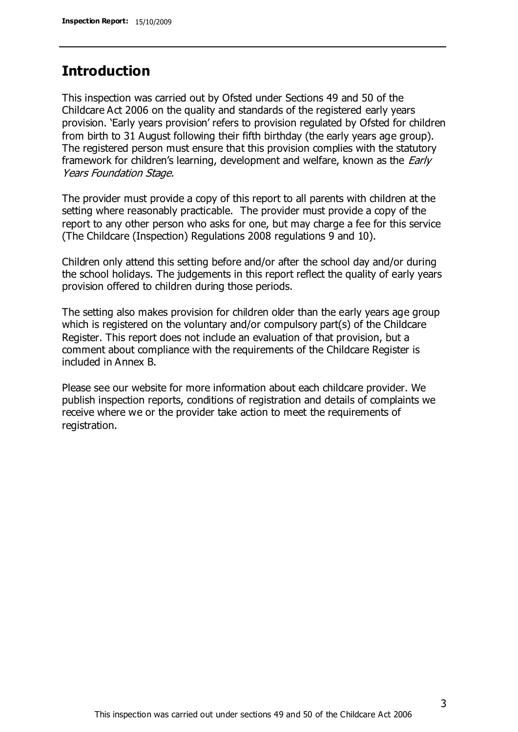### **Introduction**

This inspection was carried out by Ofsted under Sections 49 and 50 of the Childcare Act 2006 on the quality and standards of the registered early years provision. 'Early years provision' refers to provision regulated by Ofsted for children from birth to 31 August following their fifth birthday (the early years age group). The registered person must ensure that this provision complies with the statutory framework for children's learning, development and welfare, known as the *Early* Years Foundation Stage.

The provider must provide a copy of this report to all parents with children at the setting where reasonably practicable. The provider must provide a copy of the report to any other person who asks for one, but may charge a fee for this service (The Childcare (Inspection) Regulations 2008 regulations 9 and 10).

Children only attend this setting before and/or after the school day and/or during the school holidays. The judgements in this report reflect the quality of early years provision offered to children during those periods.

The setting also makes provision for children older than the early years age group which is registered on the voluntary and/or compulsory part(s) of the Childcare Register. This report does not include an evaluation of that provision, but a comment about compliance with the requirements of the Childcare Register is included in Annex B.

Please see our website for more information about each childcare provider. We publish inspection reports, conditions of registration and details of complaints we receive where we or the provider take action to meet the requirements of registration.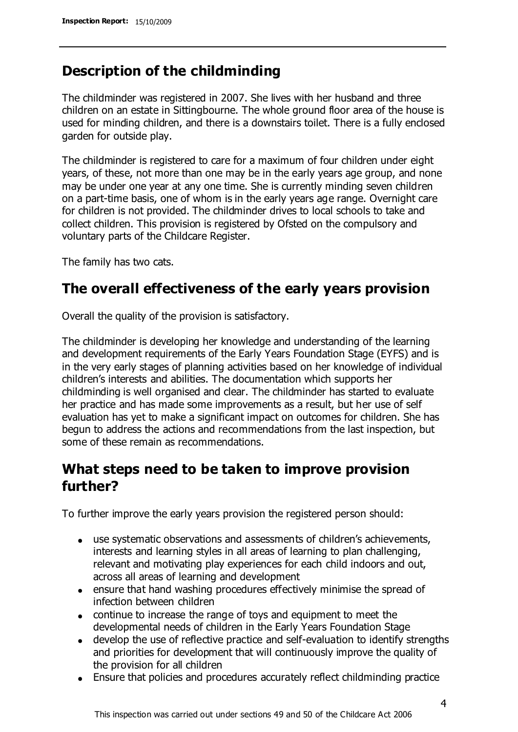# **Description of the childminding**

The childminder was registered in 2007. She lives with her husband and three children on an estate in Sittingbourne. The whole ground floor area of the house is used for minding children, and there is a downstairs toilet. There is a fully enclosed garden for outside play.

The childminder is registered to care for a maximum of four children under eight years, of these, not more than one may be in the early years age group, and none may be under one year at any one time. She is currently minding seven children on a part-time basis, one of whom is in the early years age range. Overnight care for children is not provided. The childminder drives to local schools to take and collect children. This provision is registered by Ofsted on the compulsory and voluntary parts of the Childcare Register.

The family has two cats.

### **The overall effectiveness of the early years provision**

Overall the quality of the provision is satisfactory.

The childminder is developing her knowledge and understanding of the learning and development requirements of the Early Years Foundation Stage (EYFS) and is in the very early stages of planning activities based on her knowledge of individual children's interests and abilities. The documentation which supports her childminding is well organised and clear. The childminder has started to evaluate her practice and has made some improvements as a result, but her use of self evaluation has yet to make a significant impact on outcomes for children. She has begun to address the actions and recommendations from the last inspection, but some of these remain as recommendations.

# **What steps need to be taken to improve provision further?**

To further improve the early years provision the registered person should:

- use systematic observations and assessments of children's achievements, interests and learning styles in all areas of learning to plan challenging, relevant and motivating play experiences for each child indoors and out, across all areas of learning and development
- ensure that hand washing procedures effectively minimise the spread of infection between children
- continue to increase the range of toys and equipment to meet the developmental needs of children in the Early Years Foundation Stage
- develop the use of reflective practice and self-evaluation to identify strengths and priorities for development that will continuously improve the quality of the provision for all children
- Ensure that policies and procedures accurately reflect childminding practice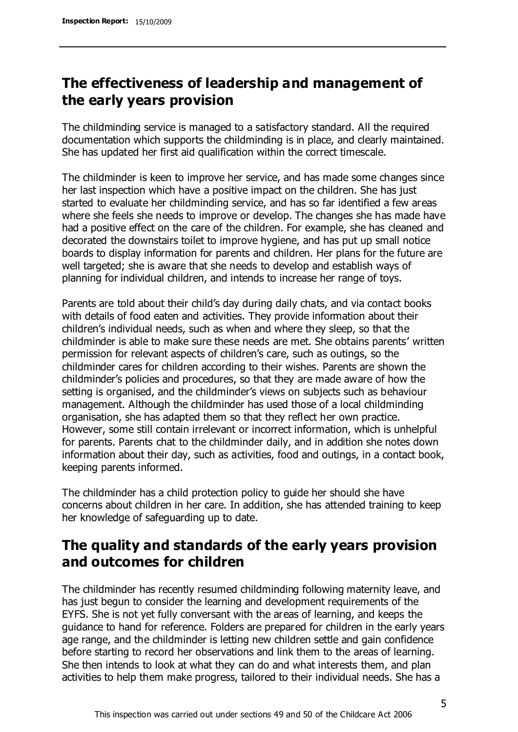# **The effectiveness of leadership and management of the early years provision**

The childminding service is managed to a satisfactory standard. All the required documentation which supports the childminding is in place, and clearly maintained. She has updated her first aid qualification within the correct timescale.

The childminder is keen to improve her service, and has made some changes since her last inspection which have a positive impact on the children. She has just started to evaluate her childminding service, and has so far identified a few areas where she feels she needs to improve or develop. The changes she has made have had a positive effect on the care of the children. For example, she has cleaned and decorated the downstairs toilet to improve hygiene, and has put up small notice boards to display information for parents and children. Her plans for the future are well targeted; she is aware that she needs to develop and establish ways of planning for individual children, and intends to increase her range of toys.

Parents are told about their child's day during daily chats, and via contact books with details of food eaten and activities. They provide information about their children's individual needs, such as when and where they sleep, so that the childminder is able to make sure these needs are met. She obtains parents' written permission for relevant aspects of children's care, such as outings, so the childminder cares for children according to their wishes. Parents are shown the childminder's policies and procedures, so that they are made aware of how the setting is organised, and the childminder's views on subjects such as behaviour management. Although the childminder has used those of a local childminding organisation, she has adapted them so that they reflect her own practice. However, some still contain irrelevant or incorrect information, which is unhelpful for parents. Parents chat to the childminder daily, and in addition she notes down information about their day, such as activities, food and outings, in a contact book, keeping parents informed.

The childminder has a child protection policy to guide her should she have concerns about children in her care. In addition, she has attended training to keep her knowledge of safeguarding up to date.

# **The quality and standards of the early years provision and outcomes for children**

The childminder has recently resumed childminding following maternity leave, and has just begun to consider the learning and development requirements of the EYFS. She is not yet fully conversant with the areas of learning, and keeps the guidance to hand for reference. Folders are prepared for children in the early years age range, and the childminder is letting new children settle and gain confidence before starting to record her observations and link them to the areas of learning. She then intends to look at what they can do and what interests them, and plan activities to help them make progress, tailored to their individual needs. She has a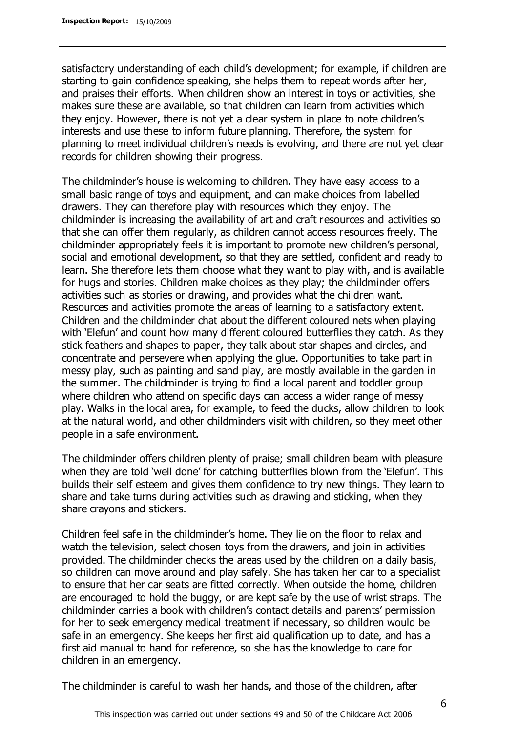satisfactory understanding of each child's development; for example, if children are starting to gain confidence speaking, she helps them to repeat words after her, and praises their efforts. When children show an interest in toys or activities, she makes sure these are available, so that children can learn from activities which they enjoy. However, there is not yet a clear system in place to note children's interests and use these to inform future planning. Therefore, the system for planning to meet individual children's needs is evolving, and there are not yet clear records for children showing their progress.

The childminder's house is welcoming to children. They have easy access to a small basic range of toys and equipment, and can make choices from labelled drawers. They can therefore play with resources which they enjoy. The childminder is increasing the availability of art and craft resources and activities so that she can offer them regularly, as children cannot access resources freely. The childminder appropriately feels it is important to promote new children's personal, social and emotional development, so that they are settled, confident and ready to learn. She therefore lets them choose what they want to play with, and is available for hugs and stories. Children make choices as they play; the childminder offers activities such as stories or drawing, and provides what the children want. Resources and activities promote the areas of learning to a satisfactory extent. Children and the childminder chat about the different coloured nets when playing with 'Elefun' and count how many different coloured butterflies they catch. As they stick feathers and shapes to paper, they talk about star shapes and circles, and concentrate and persevere when applying the glue. Opportunities to take part in messy play, such as painting and sand play, are mostly available in the garden in the summer. The childminder is trying to find a local parent and toddler group where children who attend on specific days can access a wider range of messy play. Walks in the local area, for example, to feed the ducks, allow children to look at the natural world, and other childminders visit with children, so they meet other people in a safe environment.

The childminder offers children plenty of praise; small children beam with pleasure when they are told 'well done' for catching butterflies blown from the 'Elefun'. This builds their self esteem and gives them confidence to try new things. They learn to share and take turns during activities such as drawing and sticking, when they share crayons and stickers.

Children feel safe in the childminder's home. They lie on the floor to relax and watch the television, select chosen toys from the drawers, and join in activities provided. The childminder checks the areas used by the children on a daily basis, so children can move around and play safely. She has taken her car to a specialist to ensure that her car seats are fitted correctly. When outside the home, children are encouraged to hold the buggy, or are kept safe by the use of wrist straps. The childminder carries a book with children's contact details and parents' permission for her to seek emergency medical treatment if necessary, so children would be safe in an emergency. She keeps her first aid qualification up to date, and has a first aid manual to hand for reference, so she has the knowledge to care for children in an emergency.

The childminder is careful to wash her hands, and those of the children, after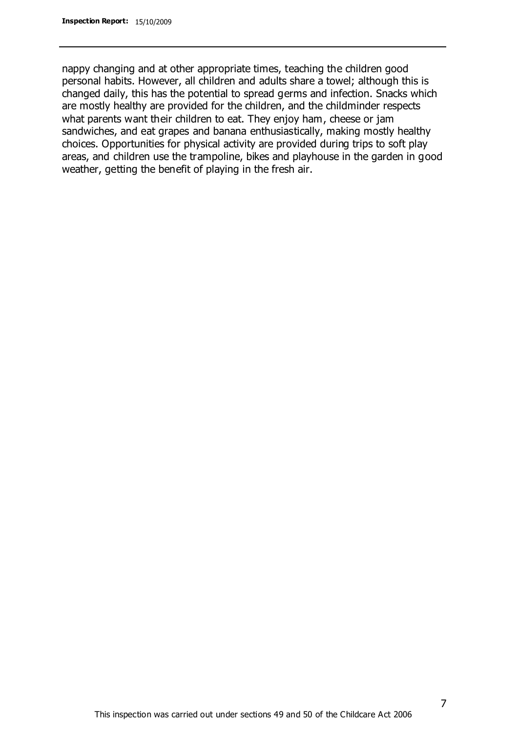nappy changing and at other appropriate times, teaching the children good personal habits. However, all children and adults share a towel; although this is changed daily, this has the potential to spread germs and infection. Snacks which are mostly healthy are provided for the children, and the childminder respects what parents want their children to eat. They enjoy ham, cheese or jam sandwiches, and eat grapes and banana enthusiastically, making mostly healthy choices. Opportunities for physical activity are provided during trips to soft play areas, and children use the trampoline, bikes and playhouse in the garden in good weather, getting the benefit of playing in the fresh air.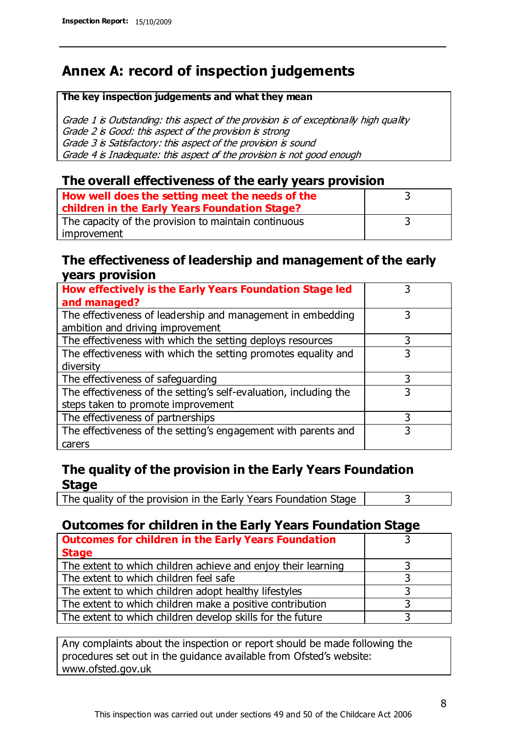# **Annex A: record of inspection judgements**

#### **The key inspection judgements and what they mean**

Grade 1 is Outstanding: this aspect of the provision is of exceptionally high quality Grade 2 is Good: this aspect of the provision is strong Grade 3 is Satisfactory: this aspect of the provision is sound Grade 4 is Inadequate: this aspect of the provision is not good enough

#### **The overall effectiveness of the early years provision**

| How well does the setting meet the needs of the      |  |
|------------------------------------------------------|--|
| children in the Early Years Foundation Stage?        |  |
| The capacity of the provision to maintain continuous |  |
| improvement                                          |  |

#### **The effectiveness of leadership and management of the early years provision**

| How effectively is the Early Years Foundation Stage led                                         |   |
|-------------------------------------------------------------------------------------------------|---|
| and managed?                                                                                    |   |
| The effectiveness of leadership and management in embedding<br>ambition and driving improvement | 3 |
|                                                                                                 |   |
| The effectiveness with which the setting deploys resources                                      | 3 |
| The effectiveness with which the setting promotes equality and                                  |   |
| diversity                                                                                       |   |
| The effectiveness of safeguarding                                                               | 3 |
| The effectiveness of the setting's self-evaluation, including the                               | 3 |
| steps taken to promote improvement                                                              |   |
| The effectiveness of partnerships                                                               | 3 |
| The effectiveness of the setting's engagement with parents and                                  |   |
| carers                                                                                          |   |

### **The quality of the provision in the Early Years Foundation Stage**

The quality of the provision in the Early Years Foundation Stage  $\vert$  3

### **Outcomes for children in the Early Years Foundation Stage**

| <b>Outcomes for children in the Early Years Foundation</b>    |  |
|---------------------------------------------------------------|--|
| <b>Stage</b>                                                  |  |
| The extent to which children achieve and enjoy their learning |  |
| The extent to which children feel safe                        |  |
| The extent to which children adopt healthy lifestyles         |  |
| The extent to which children make a positive contribution     |  |
| The extent to which children develop skills for the future    |  |

Any complaints about the inspection or report should be made following the procedures set out in the guidance available from Ofsted's website: www.ofsted.gov.uk